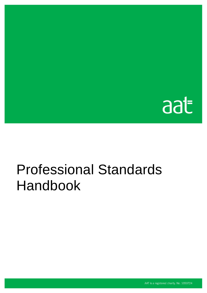

# Professional Standards Handbook

AAT is a registered charity. No. 1050724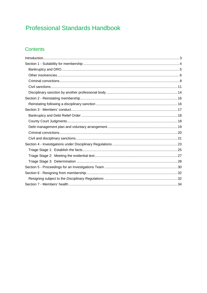# **Professional Standards Handbook**

### Contents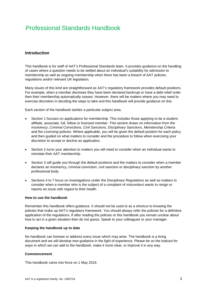# Professional Standards Handbook

#### <span id="page-2-0"></span>**Introduction**

This handbook is for staff of AAT's Professional Standards team. It provides guidance on the handling of cases where a question needs to be settled about an individual's suitability for admission to membership as well as ongoing membership when there has been a breach of AAT policies, regulations and/or relevant UK legislation.

Many issues of this kind are straightforward as AAT's regulatory framework provides default positions. For example, when a member discloses they have been declared bankrupt or have a debt relief order then their membership automatically ceases. However, there will be matters where you may need to exercise discretion in deciding the steps to take and this handbook will provide guidance on this.

Each section of the handbook tackles a particular subject area.

- Section 1 focuses on applications for membership. This includes those applying to be a student, affiliate, associate, full, fellow or licensed member. This section draws on information from the *Insolvency*, *Criminal Convictions*, *Civil Sanctions*, *Disciplinary Sanctions*, *Membership Criteria*  and the *Licensing* policies*.* Where applicable, you will be given the default position for each policy and then guided on what matters to consider and the procedure to follow when exercising your discretion to accept or decline an application.
- Section 2 turns your attention to matters you will need to consider when an individual wants to reinstate their AAT membership.
- Section 3 will guide you through the default positions and the matters to consider when a member declares an insolvency, criminal conviction, civil sanction or disciplinary sanction by another professional body.
- Sections 4 to 7 focus on investigations under the *Disciplinary Regulations* as well as matters to consider when a member who is the subject of a complaint of misconduct wants to resign or reports an issue with regard to their health.

#### **How to use the handbook**

Remember this handbook offers guidance. It should not be used to as a shortcut to knowing the policies that make up AAT's regulatory framework. You should always refer the policies for a definitive application of the regulations. If after reading the policies or this handbook you remain unclear about how to act in a given situation then do not guess. Speak to your colleagues or your manager.

#### **Keeping the handbook up to date**

No handbook can foresee or address every issue which may arise. The handbook is a living document and we will develop new guidance in the light of experience. Please be on the lookout for ways in which we can add to the handbook, make it more clear, or improve it in any way.

#### **Commencement**

This handbook came into force on 1 May 2016.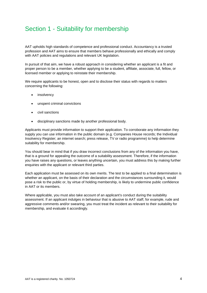# <span id="page-3-0"></span>Section 1 - Suitability for membership

AAT upholds high standards of competence and professional conduct. Accountancy is a trusted profession and AAT aims to ensure that members behave professionally and ethically and comply with AAT policies and regulations and relevant UK legislation.

In pursuit of that aim, we have a robust approach in considering whether an applicant is a fit and proper person to be a member, whether applying to be a student, affiliate, associate, full, fellow, or licensed member or applying to reinstate their membership.

We require applicants to be honest, open and to disclose their status with regards to matters concerning the following:

- insolvency
- unspent criminal convictions
- civil sanctions
- disciplinary sanctions made by another professional body.

Applicants must provide information to support their application. To corroborate any information they supply you can use information in the public domain (e.g. Companies House records; the Individual Insolvency Register; an internet search; press release, TV or radio programme) to help determine suitability for membership.

You should bear in mind that if you draw incorrect conclusions from any of the information you have, that is a ground for appealing the outcome of a suitability assessment. Therefore, if the information you have raises any questions, or leaves anything uncertain, you must address this by making further enquiries with the applicant or relevant third parties.

Each application must be assessed on its own merits. The test to be applied to a final determination is whether an applicant, on the basis of their declaration and the circumstances surrounding it, would pose a risk to the public or, by virtue of holding membership, is likely to undermine public confidence in AAT or its members.

Where applicable, you must also take account of an applicant's conduct during the suitability assessment. If an applicant indulges in behaviour that is abusive to AAT staff, for example, rude and aggressive comments and/or swearing, you must treat the incident as relevant to their suitability for membership, and evaluate it accordingly.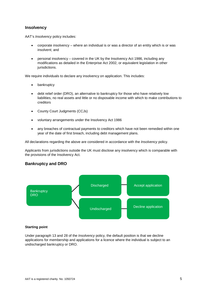#### **Insolvency**

AAT's *Insolvency* policy includes:

- corporate insolvency where an individual is or was a director of an entity which is or was insolvent; and
- personal insolvency covered in the UK by the Insolvency Act 1986, including any modifications as detailed in the Enterprise Act 2002, or equivalent legislation in other jurisdictions.

We require individuals to declare any insolvency on application. This includes:

- bankruptcy
- debt relief order (DRO), an alternative to bankruptcy for those who have relatively low liabilities, no real assets and little or no disposable income with which to make contributions to creditors
- County Court Judgments (CCJs)
- voluntary arrangements under the Insolvency Act 1986
- any breaches of contractual payments to creditors which have not been remedied within one year of the date of first breach, including debt management plans.

All declarations regarding the above are considered in accordance with the *Insolvency* policy.

Applicants from jurisdictions outside the UK must disclose any insolvency which is comparable with the provisions of the Insolvency Act.

#### <span id="page-4-0"></span>**Bankruptcy and DRO**



#### **Starting point**

Under paragraph 13 and 28 of the *Insolvency* policy, the default position is that we decline applications for membership and applications for a licence where the individual is subject to an undischarged bankruptcy or DRO.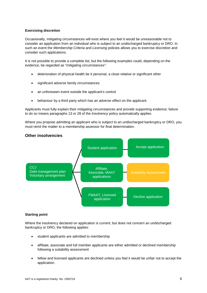#### **Exercising discretion**

Occasionally, mitigating circumstances will exist where you feel it would be unreasonable not to consider an application from an individual who is subject to an undischarged bankruptcy or DRO. In such an event the *Membership Criteria* and *Licensing* policies allows you to exercise discretion and consider such applications.

It is not possible to provide a complete list, but the following examples could, depending on the evidence, be regarded as "mitigating circumstances":

- deterioration of physical health be it personal, a close relative or significant other
- significant adverse family circumstances
- an unforeseen event outside the applicant's control
- behaviour by a third party which has an adverse effect on the applicant.

Applicants must fully explain their mitigating circumstances and provide supporting evidence; failure to do so means paragraphs 13 or 28 of the *Insolvency* policy automatically applies.

Where you propose admitting an applicant who is subject to an undischarged bankruptcy or DRO, you must remit the matter to a membership assessor for final determination.



#### <span id="page-5-0"></span>**Other insolvencies**

#### **Starting point**

Where the insolvency declared on application is current, but does not concern an undischarged bankruptcy or DRO, the following applies:

- student applicants are admitted to membership
- affiliate, associate and full member applicants are either admitted or declined membership following a suitability assessment
- fellow and licensed applicants are declined unless you feel it would be unfair not to accept the application.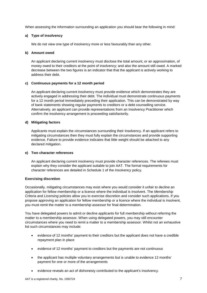When assessing the information surrounding an application you should bear the following in mind:

#### **a) Type of insolvency**

We do not view one type of insolvency more or less favourably than any other.

#### **b) Amount owed**

An applicant declaring current insolvency must disclose the total amount, or an approximation, of money owed to their creditors at the point of insolvency; and also the amount still owed. A marked decrease between the two figures is an indicator that that the applicant is actively working to address their debt.

#### **c) Continuous payments for a 12 month period**

An applicant declaring current insolvency must provide evidence which demonstrates they are actively engaged in addressing their debt. The individual must demonstrate continuous payments for a 12 month period immediately preceding their application. This can be demonstrated by way of bank statements showing regular payments to creditors or a debt counselling service. Alternatively, an applicant can provide representations from an Insolvency Practitioner which confirm the insolvency arrangement is proceeding satisfactorily.

#### **d) Mitigating factors**

Applicants must explain the circumstances surrounding their insolvency. If an applicant refers to mitigating circumstances then they must fully explain the circumstances and provide supporting evidence. Failure to provide evidence indicates that little weight should be attached to any declared mitigation.

#### **e) Two character references**

An applicant declaring current insolvency must provide character references. The referees must explain why they consider the applicant suitable to join AAT. The formal requirements for character references are detailed in Schedule 1 of the *Insolvency* policy.

#### **Exercising discretion**

Occasionally, mitigating circumstances may exist where you would consider it unfair to decline an application for fellow membership or a licence where the individual is insolvent. The *Membership Criteria* and *Licensing* policies allow you to exercise discretion and consider such applications. If you propose approving an application for fellow membership or a licence where the individual is insolvent, you must remit the matter to a membership assessor for final determination.

You have delegated powers to admit or decline applicants for full membership without referring the matter to a membership assessor. When using delegated powers, you may still encounter circumstances where you need to remit a matter to a membership assessor. Whilst not an exhaustive list such circumstances may include:

- evidence of 12 months' payment to their creditors but the applicant does not have a credible repayment plan in place
- evidence of 12 months' payment to creditors but the payments are not continuous
- the applicant has multiple voluntary arrangements but is unable to evidence 12 months' payment for one or more of the arrangements
- evidence reveals an act of dishonesty contributed to the applicant's insolvency.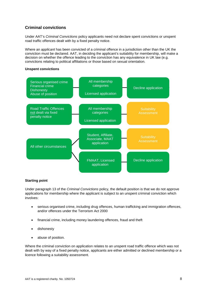#### <span id="page-7-0"></span>**Criminal convictions**

Under AAT's *Criminal Convictions* policy applicants need not declare spent convictions or unspent road traffic offences dealt with by a fixed penalty notice.

Where an *applicant* has been convicted of a criminal offence in a jurisdiction other than the UK the conviction must be declared. AAT, in deciding the applicant's suitability for membership, will make a decision on whether the offence leading to the conviction has any equivalence in UK law (e.g. convictions relating to political affiliations or those based on sexual orientation.

#### **Unspent convictions**



#### **Starting point**

Under paragraph 13 of the *Criminal Convictions* policy, the default position is that we do not approve applications for membership where the applicant is subject to an unspent criminal conviction which involves:

- serious organised crime, including drug offences, human trafficking and immigration offences, and/or offences under the Terrorism Act 2000
- financial crime, including money laundering offences, fraud and theft
- dishonesty
- abuse of position.

Where the criminal conviction on application relates to an unspent road traffic offence which was not dealt with by way of a fixed penalty notice, applicants are either admitted or declined membership or a licence following a suitability assessment.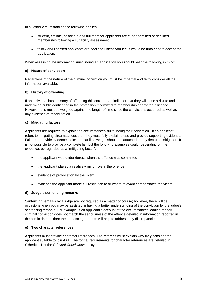In all other circumstances the following applies:

- student, affiliate, associate and full member applicants are either admitted or declined membership following a suitability assessment
- fellow and licensed applicants are declined unless you feel it would be unfair not to accept the application.

When assessing the information surrounding an application you should bear the following in mind:

#### **a) Nature of conviction**

Regardless of the nature of the criminal conviction you must be impartial and fairly consider all the information available.

#### **b) History of offending**

If an individual has a history of offending this could be an indicator that they will pose a risk to and undermine public confidence in the profession if admitted to membership or granted a licence. However, this must be weighed against the length of time since the convictions occurred as well as any evidence of rehabilitation.

#### **c) Mitigating factors**

Applicants are required to explain the circumstances surrounding their conviction. If an applicant refers to mitigating circumstances then they must fully explain these and provide supporting evidence. Failure to provide evidence indicates that little weight should be attached to any declared mitigation. It is not possible to provide a complete list, but the following examples could, depending on the evidence, be regarded as a "mitigating factor":

- the applicant was under duress when the offence was committed
- the applicant played a relatively minor role in the offence
- evidence of provocation by the victim
- evidence the applicant made full restitution to or where relevant compensated the victim.

#### **d) Judge's sentencing remarks**

Sentencing remarks by a judge are not required as a matter of course; however, there will be occasions when you may be assisted in having a better understanding of the conviction by the judge's sentencing remarks. For example, if an applicant's account of the circumstances leading to their criminal conviction does not match the seriousness of the offence detailed in information reported in the public domain then the sentencing remarks will help to address any discrepancies.

#### **e) Two character references**

Applicants must provide character references. The referees must explain why they consider the applicant suitable to join AAT. The formal requirements for character references are detailed in Schedule 1 of the *Criminal Convictions* policy.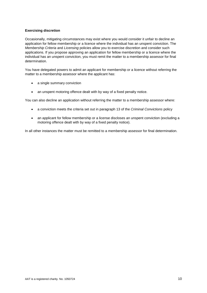#### **Exercising discretion**

Occasionally, mitigating circumstances may exist where you would consider it unfair to decline an application for fellow membership or a licence where the individual has an unspent conviction. The *Membership Criteria* and *Licensing* policies allow you to exercise discretion and consider such applications. If you propose approving an application for fellow membership or a licence where the individual has an unspent conviction, you must remit the matter to a membership assessor for final determination.

You have delegated powers to admit an applicant for membership or a licence without referring the matter to a membership assessor where the applicant has:

- a single summary conviction
- an unspent motoring offence dealt with by way of a fixed penalty notice.

You can also decline an application without referring the matter to a membership assessor where:

- a conviction meets the criteria set out in paragraph 13 of the *Criminal Convictions* policy
- an applicant for fellow membership or a license discloses an unspent conviction (excluding a motoring offence dealt with by way of a fixed penalty notice).

In all other instances the matter must be remitted to a membership assessor for final determination.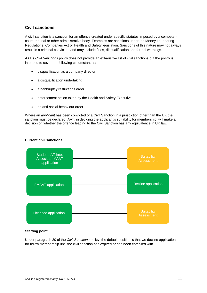#### <span id="page-10-0"></span>**Civil sanctions**

A civil sanction is a sanction for an offence created under specific statutes imposed by a competent court, tribunal or other administrative body. Examples are sanctions under the Money Laundering Regulations, Companies Act or Health and Safety legislation. Sanctions of this nature may not always result in a criminal conviction and may include fines, disqualification and formal warnings.

AAT's *Civil Sanctions* policy does not provide an exhaustive list of civil sanctions but the policy is intended to cover the following circumstances:

- disqualification as a company director
- a disqualification undertaking
- a bankruptcy restrictions order
- enforcement action taken by the Health and Safety Executive
- an anti-social behaviour order.

Where an *applicant* has been convicted of a Civil Sanction in a jurisdiction other than the UK the sanction must be declared. AAT, in deciding the applicant's suitability for membership, will make a decision on whether the offence leading to the Civil Sanction has any equivalence in UK law.

#### **Current civil sanctions**



#### **Starting point**

Under paragraph 20 of the *Civil Sanctions* policy, the default position is that we decline applications for fellow membership until the civil sanction has expired or has been complied with.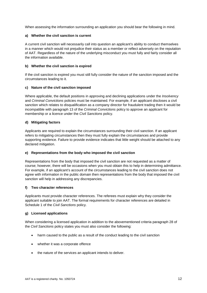When assessing the information surrounding an application you should bear the following in mind.

#### **a) Whether the civil sanction is current**

A current civil sanction will necessarily call into question an applicant's ability to conduct themselves in a manner which would not prejudice their status as a member or reflect adversely on the reputation of AAT. Regardless of the nature of the underlying misconduct you must fully and fairly consider all the information available.

#### **b) Whether the civil sanction is expired**

If the civil sanction is expired you must still fully consider the nature of the sanction imposed and the circumstances leading to it.

#### **c) Nature of the civil sanction imposed**

Where applicable, the default positions in approving and declining applications under the *Insolvency*  and *Criminal Convictions* policies must be maintained. For example, if an applicant discloses a civil sanction which relates to disqualification as a company director for fraudulent trading then it would be incompatible with paragraph 13 of the *Criminal Convictions* policy to approve an applicant for membership or a licence under the *Civil Sanctions* policy.

#### **d) Mitigating factors**

Applicants are required to explain the circumstances surrounding their civil sanction. If an applicant refers to mitigating circumstances then they must fully explain the circumstances and provide supporting evidence. Failure to provide evidence indicates that little weight should be attached to any declared mitigation.

#### **e) Representations from the body who imposed the civil sanction**

Representations from the body that imposed the civil sanction are not requested as a matter of course; however, there will be occasions when you must obtain this to help in determining admittance. For example, if an applicant's account of the circumstances leading to the civil sanction does not agree with information in the public domain then representations from the body that imposed the civil sanction will help in addressing any discrepancies.

#### **f) Two character references**

Applicants must provide character references. The referees must explain why they consider the applicant suitable to join AAT. The formal requirements for character references are detailed in Schedule 1 of the *Civil Sanctions* policy.

#### **g) Licensed applications**

When considering a licensed application in addition to the abovementioned criteria paragraph 28 of the *Civil Sanctions* policy states you must also consider the following:

- harm caused to the public as a result of the conduct leading to the civil sanction
- whether it was a corporate offence
- the nature of the services an applicant intends to deliver.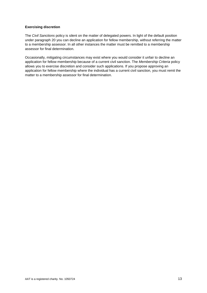#### **Exercising discretion**

The *Civil Sanctions* policy is silent on the matter of delegated powers. In light of the default position under paragraph 20 you can decline an application for fellow membership, without referring the matter to a membership assessor. In all other instances the matter must be remitted to a membership assessor for final determination.

Occasionally, mitigating circumstances may exist where you would consider it unfair to decline an application for fellow membership because of a current civil sanction. The *Membership Criteria* policy allows you to exercise discretion and consider such applications. If you propose approving an application for fellow membership where the individual has a current civil sanction, you must remit the matter to a membership assessor for final determination.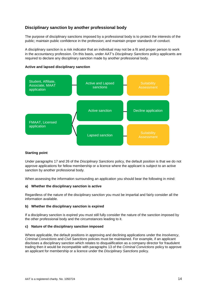#### <span id="page-13-0"></span>**Disciplinary sanction by another professional body**

The purpose of disciplinary sanctions imposed by a professional body is to protect the interests of the public; maintain public confidence in the profession; and maintain proper standards of conduct.

A disciplinary sanction is a risk indicator that an individual may not be a fit and proper person to work in the accountancy profession. On this basis, under AAT's *Disciplinary Sanctions* policy applicants are required to declare any disciplinary sanction made by another professional body.

#### **Active and lapsed disciplinary sanction**



#### **Starting point**

Under paragraphs 17 and 26 of the *Disciplinary Sanctions* policy, the default position is that we do not approve applications for fellow membership or a licence where the applicant is subject to an active sanction by another professional body.

When assessing the information surrounding an application you should bear the following in mind:

#### **a) Whether the disciplinary sanction is active**

Regardless of the nature of the disciplinary sanction you must be impartial and fairly consider all the information available.

#### **b) Whether the disciplinary sanction is expired**

If a disciplinary sanction is expired you must still fully consider the nature of the sanction imposed by the other professional body and the circumstances leading to it.

#### **c) Nature of the disciplinary sanction imposed**

Where applicable, the default positions in approving and declining applications under the *Insolvency*, *Criminal Convictions* and *Civil Sanctions* policies must be maintained. For example, if an applicant discloses a disciplinary sanction which relates to disqualification as a company director for fraudulent trading then it would be incompatible with paragraphs 13 of the *Criminal Convictions* policy to approve an applicant for membership or a licence under the *Disciplinary Sanctions* policy.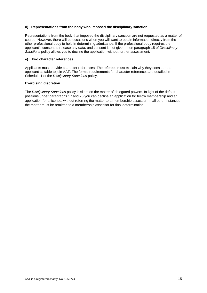#### **d) Representations from the body who imposed the disciplinary sanction**

Representations from the body that imposed the disciplinary sanction are not requested as a matter of course. However, there will be occasions when you will want to obtain information directly from the other professional body to help in determining admittance. If the professional body requires the applicant's consent to release any data, and consent is not given, then paragraph 15 of *Disciplinary Sanctions* policy allows you to decline the application without further assessment.

#### **e) Two character references**

Applicants must provide character references. The referees must explain why they consider the applicant suitable to join AAT. The formal requirements for character references are detailed in Schedule 1 of the *Disciplinary Sanctions* policy.

#### **Exercising discretion**

The *Disciplinary Sanctions* policy is silent on the matter of delegated powers. In light of the default positions under paragraphs 17 and 26 you can decline an application for fellow membership and an application for a licence, without referring the matter to a membership assessor. In all other instances the matter must be remitted to a membership assessor for final determination.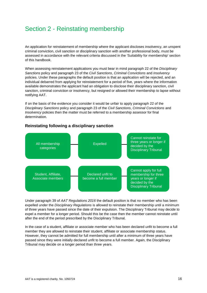# <span id="page-15-0"></span>Section 2 - Reinstating membership

An application for reinstatement of membership where the applicant discloses insolvency, an unspent criminal conviction, civil sanction or disciplinary sanction with another professional body, must be assessed in accordance with the relevant criteria discussed in the 'Suitability for membership' section of this handbook.

When assessing reinstatement applications you must bear in mind paragraph 22 of the *Disciplinary Sanctions* policy and paragraph 23 of the *Civil Sanctions*, *Criminal Convictions* and *Insolvency* policies. Under these paragraphs the default position is that an application will be rejected, and an individual debarred from applying for reinstatement for a period of five, years where the information available demonstrates the applicant had an obligation to disclose their disciplinary sanction, civil sanction, criminal conviction or insolvency, but resigned or allowed their membership to lapse without notifying AAT.

If on the basis of the evidence you consider it would be unfair to apply paragraph 22 of the *Disciplinary Sanctions* policy and paragraph 23 of the *Civil Sanctions*, *Criminal Convictions* and *Insolvency* policies then the matter must be referred to a membership assessor for final determination.



#### <span id="page-15-1"></span>**Reinstating following a disciplinary sanction**

Under paragraph 39 of *AAT Regulations 2016* the default position is that no member who has been expelled under the *Disciplinary Regulations* is allowed to reinstate their membership until a minimum of three years have passed since the date of their expulsion. The Disciplinary Tribunal may decide to expel a member for a longer period. Should this be the case then the member cannot reinstate until after the end of the period prescribed by the Disciplinary Tribunal.

In the case of a student, affiliate or associate member who has been declared unfit to become a full member they are allowed to reinstate their student, affiliate or associate membership status. However, they cannot be admitted for full membership until after a minimum of three years have passed since they were initially declared unfit to become a full member. Again, the Disciplinary Tribunal may decide on a longer period than three years.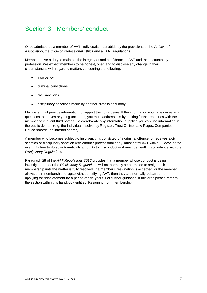# <span id="page-16-0"></span>Section 3 - Members' conduct

Once admitted as a member of AAT, individuals must abide by the provisions of the *Articles of Association*, the *Code of Professional Ethics* and all AAT regulations.

Members have a duty to maintain the integrity of and confidence in AAT and the accountancy profession. We expect members to be honest, open and to disclose any change in their circumstances with regard to matters concerning the following:

- insolvency
- criminal convictions
- civil sanctions
- disciplinary sanctions made by another professional body.

Members must provide information to support their disclosure. If the information you have raises any questions, or leaves anything uncertain, you must address this by making further enquiries with the member or relevant third parties. To corroborate any information supplied you can use information in the public domain (e.g. the Individual Insolvency Register; Trust Online; Law Pages; Companies House records; an internet search).

A member who becomes subject to insolvency, is convicted of a criminal offence, or receives a civil sanction or disciplinary sanction with another professional body, must notify AAT within 30 days of the event. Failure to do so automatically amounts to misconduct and must be dealt in accordance with the *Disciplinary Regulations*.

Paragraph 28 of the *AAT Regulations 2016* provides that a member whose conduct is being investigated under the *Disciplinary Regulations* will not normally be permitted to resign their membership until the matter is fully resolved. If a member's resignation is accepted, or the member allows their membership to lapse without notifying AAT, then they are normally debarred from applying for reinstatement for a period of five years. For further guidance in this area please refer to the section within this handbook entitled 'Resigning from membership'.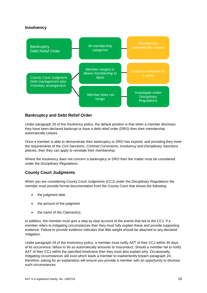#### **Insolvency**



#### <span id="page-17-0"></span>**Bankruptcy and Debt Relief Order**

Under paragraph 25 of the *Insolvency* policy, the default position is that when a member discloses they have been declared bankrupt or have a debt relief order (DRO) then their membership automatically ceases.

Once a member is able to demonstrate their bankruptcy or DRO has expired, and providing they meet the requirements of the *Civil Sanctions*, *Criminal Convictions*, *Insolvency* and *Disciplinary Sanctions*  policies, then they can apply to reinstate their membership.

Where the insolvency does not concern a bankruptcy or DRO then the matter must be considered under the *Disciplinary Regulations*.

#### <span id="page-17-1"></span>**County Court Judgments**

When you are considering County Court Judgments (CCJ) under the *Disciplinary Regulations* the member must provide formal documentation from the County Court that shows the following:

- the judgment date
- the amount of the judgment
- the name of the Claimant(s).

In addition, the member must give a step by step account of the events that led to the CCJ. If a member refers to mitigating circumstances then they must fully explain these and provide supporting evidence. Failure to provide evidence indicates that little weight should be attached to any declared mitigation.

Under paragraph 24 of the *Insolvency* policy, a member must notify AAT of their CCJ within 30 days of its occurrence; failure to do so automatically amounts to misconduct. Should a member fail to notify AAT of their CCJ within the specified timeframe then they must also explain why. Occasionally, mitigating circumstances will exist which leads a member to inadvertently breach paragraph 24; therefore, asking for an explanation will ensure you provide a member with an opportunity to disclose such circumstances.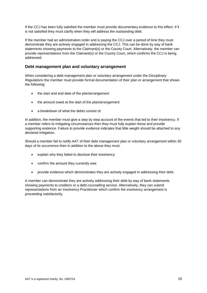If the CCJ has been fully satisfied the member must provide documentary evidence to this effect. If it is not satisfied they must clarify when they will address the outstanding debt.

If the member had an administration order and is paying the CCJ over a period of time they must demonstrate they are actively engaged in addressing the CCJ. This can be done by way of bank statements showing payments to the Claimant(s) or the County Court. Alternatively, the member can provide representations from the Claimant(s) or the County Court, which confirms the CCJ is being addressed.

#### <span id="page-18-0"></span>**Debt management plan and voluntary arrangement**

When considering a debt management plan or voluntary arrangement under the *Disciplinary Regulations* the member must provide formal documentation of their plan or arrangement that shows the following:

- the start and end date of the plan/arrangement
- the amount owed at the start of the plan/arrangement
- a breakdown of what the debts consist of.

In addition, the member must give a step by step account of the events that led to their insolvency. If a member refers to mitigating circumstances then they must fully explain these and provide supporting evidence. Failure to provide evidence indicates that little weight should be attached to any declared mitigation.

Should a member fail to notify AAT of their debt management plan or voluntary arrangement within 30 days of its occurrence then in addition to the above they must:

- explain why they failed to disclose their insolvency
- confirm the amount they currently owe
- provide evidence which demonstrates they are actively engaged in addressing their debt.

A member can demonstrate they are actively addressing their debt by way of bank statements showing payments to creditors or a debt counselling service. Alternatively, they can submit representations from an Insolvency Practitioner which confirm the insolvency arrangement is proceeding satisfactorily.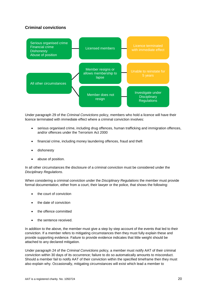#### <span id="page-19-0"></span>**Criminal convictions**



Under paragraph 29 of the *Criminal Convictions* policy, members who hold a licence will have their licence terminated with immediate effect where a criminal conviction involves:

- serious organised crime, including drug offences, human trafficking and immigration offences, and/or offences under the Terrorism Act 2000
- financial crime, including money laundering offences, fraud and theft
- dishonesty
- abuse of position.

In all other circumstances the disclosure of a criminal conviction must be considered under the *Disciplinary Regulations*.

When considering a criminal conviction under the *Disciplinary Regulations* the member must provide formal documentation, either from a court, their lawyer or the police, that shows the following:

- the court of conviction
- the date of conviction
- the offence committed
- the sentence received.

In addition to the above, the member must give a step by step account of the events that led to their conviction. If a member refers to mitigating circumstances then they must fully explain these and provide supporting evidence. Failure to provide evidence indicates that little weight should be attached to any declared mitigation.

Under paragraph 24 of the *Criminal Convictions* policy, a member must notify AAT of their criminal conviction within 30 days of its occurrence; failure to do so automatically amounts to misconduct. Should a member fail to notify AAT of their conviction within the specified timeframe then they must also explain why. Occasionally, mitigating circumstances will exist which lead a member to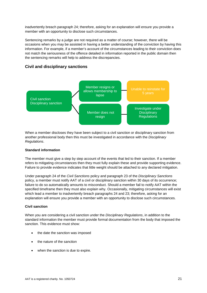inadvertently breach paragraph 24; therefore, asking for an explanation will ensure you provide a member with an opportunity to disclose such circumstances.

Sentencing remarks by a judge are not required as a matter of course; however, there will be occasions when you may be assisted in having a better understanding of the conviction by having this information. For example, if a member's account of the circumstances leading to their conviction does not match the seriousness of the offence detailed in information reported in the public domain then the sentencing remarks will help to address the discrepancies.

#### <span id="page-20-0"></span>**Civil and disciplinary sanctions**



When a member discloses they have been subject to a civil sanction or disciplinary sanction from another professional body then this must be investigated in accordance with the *Disciplinary Regulations*.

#### **Standard information**

The member must give a step by step account of the events that led to their sanction. If a member refers to mitigating circumstances then they must fully explain these and provide supporting evidence. Failure to provide evidence indicates that little weight should be attached to any declared mitigation.

Under paragraph 24 of the *Civil Sanctions* policy and paragraph 23 of the *Disciplinary Sanctions*  policy, a member must notify AAT of a civil or disciplinary sanction within 30 days of its occurrence; failure to do so automatically amounts to misconduct. Should a member fail to notify AAT within the specified timeframe then they must also explain why. Occasionally, mitigating circumstances will exist which lead a member to inadvertently breach paragraphs 24 and 23; therefore, asking for an explanation will ensure you provide a member with an opportunity to disclose such circumstances.

#### **Civil sanction**

When you are considering a civil sanction under the *Disciplinary Regulations*, in addition to the standard information the member must provide formal documentation from the body that imposed the sanction. This evidence must show:

- the date the sanction was imposed
- the nature of the sanction
- when the sanction is due to expire.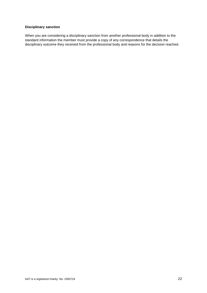#### **Disciplinary sanction**

When you are considering a disciplinary sanction from another professional body in addition to the standard information the member must provide a copy of any correspondence that details the disciplinary outcome they received from the professional body and reasons for the decision reached.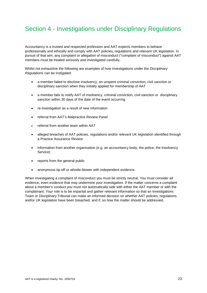# <span id="page-22-0"></span>Section 4 - Investigations under Disciplinary Regulations

Accountancy is a trusted and respected profession and AAT expects members to behave professionally and ethically and comply with AAT policies, regulations and relevant UK legislation. In pursuit of that aim, any complaint or allegation of misconduct ("complaint of misconduct") against AAT members must be treated seriously and investigated carefully.

Whilst not exhaustive the following are examples of how investigations under the *Disciplinary Regulations* can be instigated:

- a member failed to disclose insolvency, an unspent criminal conviction, civil sanction or disciplinary sanction when they initially applied for membership of AAT
- a member fails to notify AAT of insolvency, criminal conviction, civil sanction or disciplinary sanction within 30 days of the date of the event occurring
- re-investigation as a result of new information
- referral from AAT's Malpractice Review Panel
- referral from another team within AAT
- alleged breaches of AAT policies, regulations and/or relevant UK legislation identified through a Practice Assurance Review
- information from another organisation (e.g. an accountancy body; the police; the Insolvency Service)
- reports from the general public
- anonymous tip-off or whistle-blower with independent evidence.

When investigating a complaint of misconduct you must be strictly neutral. You must consider all evidence, even evidence that may undermine your investigation. If the matter concerns a complaint about a member's conduct you must not automatically side with either the AAT member or with the complainant. Your role is to be impartial and gather relevant information so that an Investigations Team or Disciplinary Tribunal can make an informed decision on whether AAT policies, regulations and/or UK legislation have been breached, and if, so how the matter should be addressed.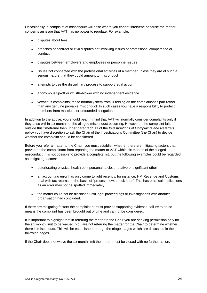Occasionally, a complaint of misconduct will arise where you cannot intervene because the matter concerns an issue that AAT has no power to regulate. For example:

- disputes about fees
- breaches of contract or civil disputes not involving issues of professional competence or conduct
- disputes between employers and employees or personnel issues
- issues not connected with the professional activities of a member unless they are of such a serious nature that they could amount to misconduct
- attempts to use the disciplinary process to support legal action
- anonymous tip-off or whistle-blower with no independent evidence
- vexatious complaints; these normally stem from ill-feeling on the complainant's part rather than any genuine provable misconduct. In such cases you have a responsibility to protect members from malicious or unfounded allegations.

In addition to the above, you should bear in mind that AAT will normally consider complaints only if they arise within six months of the alleged misconduct occurring. However, if the complaint falls outside this timeframe then under paragraph 11 of the *Investigations of Complaints and Referrals*  policy you have discretion to ask the Chair of the Investigations Committee (the Chair) to decide whether the complaint should be considered.

Before you refer a matter to the Chair, you must establish whether there are mitigating factors that prevented the complainant from reporting the matter to AAT within six months of the alleged misconduct. It is not possible to provide a complete list, but the following examples could be regarded as mitigating factors:

- deteriorating physical health be it personal, a close relative or significant other
- an accounting error has only come to light recently, for instance, HM Revenue and Customs deal with tax returns on the basis of "process now, check later". This has practical implications as an error may not be spotted immediately
- the matter could not be disclosed until legal proceedings or investigations with another organisation had concluded.

If there are mitigating factors the complainant must provide supporting evidence; failure to do so means the complaint has been brought out of time and cannot be considered.

It is important to highlight that in referring the matter to the Chair you are seeking permission only for the six month limit to be waived. You are not referring the matter for the Chair to determine whether there is misconduct. This will be established through the triage stages which are discussed in the following pages.

If the Chair does not waive the six month limit the matter must be closed with no further action.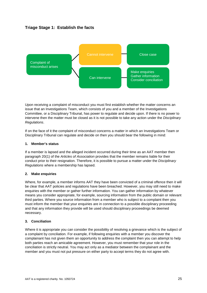#### <span id="page-24-0"></span>**Triage Stage 1: Establish the facts**



Upon receiving a complaint of misconduct you must first establish whether the matter concerns an issue that an Investigations Team, which consists of you and a member of the Investigations Committee, or a Disciplinary Tribunal, has power to regulate and decide upon. If there is no power to intervene then the matter must be closed as it is not possible to take any action under the *Disciplinary Regulations*.

If on the face of it the complaint of misconduct concerns a matter in which an Investigations Team or Disciplinary Tribunal can regulate and decide on then you should bear the following in mind:

#### **1. Member's status**

If a member is lapsed and the alleged incident occurred during their time as an AAT member then paragraph 20(1) of the *Articles of Association* provides that the member remains liable for their conduct prior to their resignation. Therefore, it is possible to pursue a matter under the *Disciplinary Regulations* where a membership has lapsed.

#### **2. Make enquiries**

Where, for example, a member informs AAT they have been convicted of a criminal offence then it will be clear that AAT policies and regulations have been breached. However, you may still need to make enquiries with the member or gather further information. You can gather information by whatever means you consider appropriate, for example, sourcing information from the public domain or relevant third parties. Where you source information from a member who is subject to a complaint then you must inform the member that your enquiries are in connection to a possible disciplinary proceeding and that any information they provide will be used should disciplinary proceedings be deemed necessary.

#### **3. Conciliation**

Where it is appropriate you can consider the possibility of resolving a grievance which is the subject of a complaint by conciliation. For example, if following enquiries with a member you discover the complainant has not given them an opportunity to address the complaint then you can attempt to help both parties reach an amicable agreement. However, you must remember that your role in the conciliation is strictly neutral. You may act only as a mediator between the complainant and the member and you must not put pressure on either party to accept terms they do not agree with.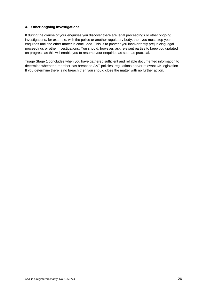#### **4. Other ongoing investigations**

If during the course of your enquiries you discover there are legal proceedings or other ongoing investigations, for example, with the police or another regulatory body, then you must stop your enquiries until the other matter is concluded. This is to prevent you inadvertently prejudicing legal proceedings or other investigations. You should, however, ask relevant parties to keep you updated on progress as this will enable you to resume your enquiries as soon as practical.

Triage Stage 1 concludes when you have gathered sufficient and reliable documented information to determine whether a member has breached AAT policies, regulations and/or relevant UK legislation. If you determine there is no breach then you should close the matter with no further action.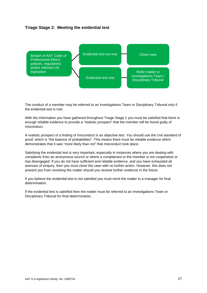#### <span id="page-26-0"></span>**Triage Stage 2: Meeting the evidential test**



The conduct of a member may be referred to an Investigations Team or Disciplinary Tribunal only if the evidential test is met.

With the information you have gathered throughout Triage Stage 1 you must be satisfied that there is enough reliable evidence to provide a "realistic prospect" that the member will be found guilty of misconduct.

A realistic prospect of a finding of misconduct is an objective test. You should use the civil standard of proof, which is "the balance of probabilities". This means there must be reliable evidence which demonstrates that it was "more likely than not" that misconduct took place.

Satisfying the evidential test is very important, especially in instances where you are dealing with complaints from an anonymous source or where a complainant or the member is not cooperative or has disengaged. If you do not have sufficient and reliable evidence, and you have exhausted all avenues of enquiry, then you must close the case with no further action. However, this does not prevent you from revisiting the matter should you receive further evidence in the future.

If you believe the evidential test is not satisfied you must remit the matter to a manager for final determination.

If the evidential test is satisfied then the matter must be referred to an Investigations Team or Disciplinary Tribunal for final determination.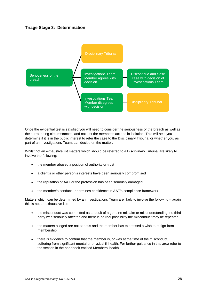#### <span id="page-27-0"></span>**Triage Stage 3: Determination**



Once the evidential test is satisfied you will need to consider the seriousness of the breach as well as the surrounding circumstances, and not just the member's actions in isolation. This will help you determine if it is in the public interest to refer the case to the Disciplinary Tribunal or whether you, as part of an Investigations Team, can decide on the matter.

Whilst not an exhaustive list matters which should be referred to a Disciplinary Tribunal are likely to involve the following:

- the member abused a position of authority or trust
- a client's or other person's interests have been seriously compromised
- the reputation of AAT or the profession has been seriously damaged
- the member's conduct undermines confidence in AAT's compliance framework

Matters which can be determined by an Investigations Team are likely to involve the following – again this is not an exhaustive list:

- the misconduct was committed as a result of a genuine mistake or misunderstanding, no third party was seriously affected and there is no real possibility the misconduct may be repeated
- the matters alleged are not serious and the member has expressed a wish to resign from membership
- there is evidence to confirm that the member is, or was at the time of the misconduct, suffering from significant mental or physical ill health. For further guidance in this area refer to the section in the handbook entitled Members' health.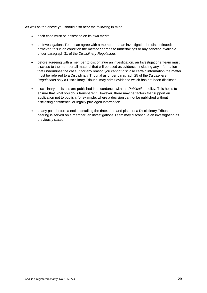As well as the above you should also bear the following in mind:

- each case must be assessed on its own merits
- an Investigations Team can agree with a member that an investigation be discontinued; however, this is on condition the member agrees to undertakings or any sanction available under paragraph 31 of the *Disciplinary Regulations.*
- before agreeing with a member to discontinue an investigation, an Investigations Team must disclose to the member all material that will be used as evidence, including any information that undermines the case. If for any reason you cannot disclose certain information the matter must be referred to a Disciplinary Tribunal as under paragraph 25 of the *Disciplinary Regulations* only a Disciplinary Tribunal may admit evidence which has not been disclosed.
- disciplinary decisions are published in accordance with the *Publication* policy. This helps to ensure that what you do is transparent. However, there may be factors that support an application not to publish; for example, where a decision cannot be published without disclosing confidential or legally privileged information.
- at any point before a notice detailing the date, time and place of a Disciplinary Tribunal hearing is served on a member, an Investigations Team may discontinue an investigation as previously stated.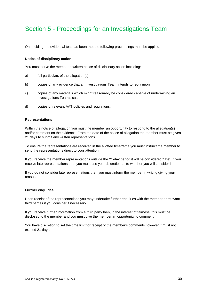# <span id="page-29-0"></span>Section 5 - Proceedings for an Investigations Team

On deciding the evidential test has been met the following proceedings must be applied.

#### **Notice of disciplinary action**

You must serve the member a written notice of disciplinary action including:

- a) full particulars of the allegation(s)
- b) copies of any evidence that an Investigations Team intends to reply upon
- c) copies of any materials which might reasonably be considered capable of undermining an Investigations Team's case
- d) copies of relevant AAT policies and regulations.

#### **Representations**

Within the notice of allegation you must the member an opportunity to respond to the allegation(s) and/or comment on the evidence. From the date of the notice of allegation the member must be given 21 days to submit any written representations.

To ensure the representations are received in the allotted timeframe you must instruct the member to send the representations direct to your attention.

If you receive the member representations outside the 21-day period it will be considered "late". If you receive late representations then you must use your discretion as to whether you will consider it.

If you do not consider late representations then you must inform the member in writing giving your reasons.

#### **Further enquiries**

Upon receipt of the representations you may undertake further enquiries with the member or relevant third parties if you consider it necessary.

If you receive further information from a third party then, in the interest of fairness, this must be disclosed to the member and you must give the member an opportunity to comment.

You have discretion to set the time limit for receipt of the member's comments however it must not exceed 21 days.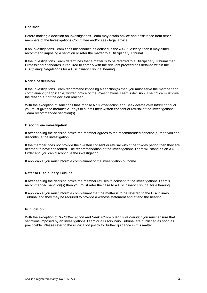#### **Decision**

Before making a decision an Investigations Team may obtain advice and assistance from other members of the Investigations Committee and/or seek legal advice.

If an Investigations Team finds misconduct, as defined in the *AAT Glossary*, then it may either recommend imposing a sanction or refer the matter to a Disciplinary Tribunal.

If the Investigations Team determines that a matter is to be referred to a Disciplinary Tribunal then Professional Standards is required to comply with the relevant proceedings detailed within the *Disciplinary Regulations* for a Disciplinary Tribunal hearing.

#### **Notice of decision**

If the Investigations Team recommend imposing a sanction(s) then you must serve the member and complainant (if applicable) written notice of the Investigations Team's decision. The notice must give the reason(s) for the decision reached.

With the exception of sanctions that impose *No further action* and *Seek advice over future conduct* you must give the member 21 days to submit their written consent or refusal of the Investigations Team recommended sanction(s).

#### **Discontinue investigation**

If after serving the decision notice the member agrees to the recommended sanction(s) then you can discontinue the investigation.

If the member does not provide their written consent or refusal within the 21-day period then they are deemed to have consented. The recommendation of the Investigations Team will stand as an AAT Order and you can discontinue the investigation.

If applicable you must inform a complainant of the investigation outcome.

#### **Refer to Disciplinary Tribunal**

If after serving the decision notice the member refuses to consent to the Investigations Team's recommended sanction(s) then you must refer the case to a Disciplinary Tribunal for a hearing.

If applicable you must inform a complainant that the matter is to be referred to the Disciplinary Tribunal and they may be required to provide a witness statement and attend the hearing.

#### **Publication**

With the exception of *No further action* and *Seek advice over future conduct* you must ensure that sanctions imposed by an Investigations Team or a Disciplinary Tribunal are published as soon as practicable. Please refer to the *Publication* policy for further guidance in this matter.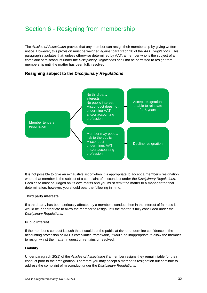# <span id="page-31-0"></span>Section 6 - Resigning from membership

The *Articles of Association* provide that any member can resign their membership by giving written notice. However, this provision must be weighed against paragraph 28 of the *AAT Regulations.* This paragraph stipulates that, unless otherwise determined by AAT, a member who is the subject of a complaint of misconduct under the *Disciplinary Regulations* shall not be permitted to resign from membership until the matter has been fully resolved.

#### <span id="page-31-1"></span>**Resigning subject to the** *Disciplinary Regulations*



It is not possible to give an exhaustive list of when it is appropriate to accept a member's resignation where that member is the subject of a complaint of misconduct under the *Disciplinary Regulations*. Each case must be judged on its own merits and you must remit the matter to a manager for final determination; however, you should bear the following in mind:

#### **Third party interests**

If a third party has been seriously affected by a member's conduct then in the interest of fairness it would be inappropriate to allow the member to resign until the matter is fully concluded under the *Disciplinary Regulations*.

#### **Public interest**

If the member's conduct is such that it could put the public at risk or undermine confidence in the accounting profession or AAT's compliance framework, it would be inappropriate to allow the member to resign whilst the matter in question remains unresolved.

#### **Liability**

Under paragraph 20(1) of the *Articles of Association* if a member resigns they remain liable for their conduct prior to their resignation. Therefore you may accept a member's resignation but continue to address the complaint of misconduct under the *Disciplinary Regulations*.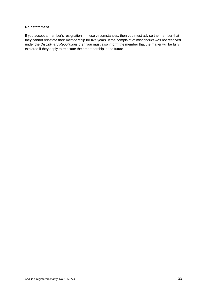#### **Reinstatement**

If you accept a member's resignation in these circumstances, then you must advise the member that they cannot reinstate their membership for five years. If the complaint of misconduct was not resolved under the *Disciplinary Regulations* then you must also inform the member that the matter will be fully explored if they apply to reinstate their membership in the future.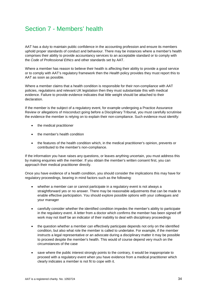# <span id="page-33-0"></span>Section 7 - Members' health

AAT has a duty to maintain public confidence in the accounting profession and ensure its members uphold proper standards of conduct and behaviour. There may be instances where a member's health comprises their ability to provide accountancy services to an acceptable standard or to comply with the *Code of Professional Ethics* and other standards set by AAT.

Where a member has reason to believe their health is affecting their ability to provide a good service or to comply with AAT's regulatory framework then the *Health* policy provides they must report this to AAT as soon as possible.

Where a member claims that a health condition is responsible for their non-compliance with AAT policies, regulations and relevant UK legislation then they must substantiate this with medical evidence. Failure to provide evidence indicates that little weight should be attached to their declaration.

If the member is the subject of a regulatory event, for example undergoing a Practice Assurance Review or allegations of misconduct going before a Disciplinary Tribunal, you must carefully scrutinise the evidence the member is relying on to explain their non-compliance. Such evidence must identify:

- the medical practitioner
- the member's health condition
- the features of the health condition which, in the medical practitioner's opinion, prevents or contributed to the member's non-compliance.

If the information you have raises any questions, or leaves anything uncertain, you must address this by making enquiries with the member. If you obtain the member's written consent first, you can approach their medical practitioner directly.

Once you have evidence of a health condition, you should consider the implications this may have for regulatory proceedings, bearing in mind factors such as the following:

- whether a member can or cannot participate in a regulatory event is not always a straightforward yes or no answer. There may be reasonable adjustments that can be made to enable effective participation. You should explore possible options with your colleagues and your manager
- carefully consider whether the identified condition impedes the member's ability to participate in the regulatory event. A letter from a doctor which confirms the member has been signed off work may not itself be an indicator of their inability to deal with disciplinary proceedings
- the question whether a member can effectively participate depends not only on the identified condition, but also what role the member is called to undertake. For example, if the member instructs a legal representative or an advocate during a disciplinary matter it may be possible to proceed despite the member's health. This would of course depend very much on the circumstances of the case
- save where the public interest strongly points to the contrary, it would be inappropriate to proceed with a regulatory event when you have evidence from a medical practitioner which clearly indicates a member is not fit to cope with it.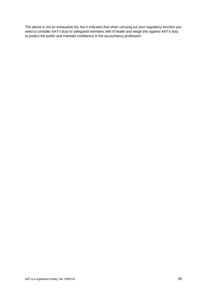The above is not an exhaustive list, but it indicates that when carrying out your regulatory function you need to consider AAT's duty to safeguard members with ill health and weigh this against AAT's duty to protect the public and maintain confidence in the accountancy profession.